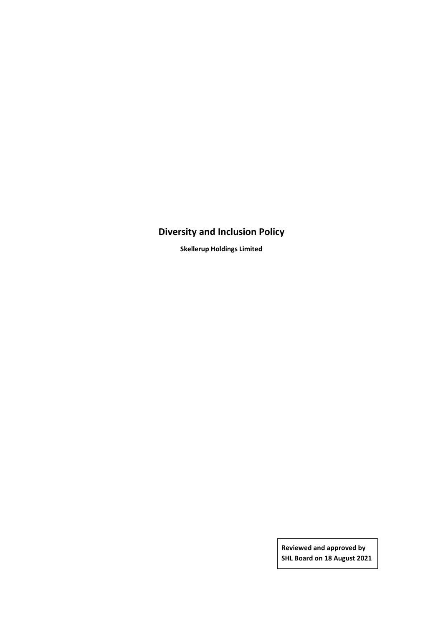# **Diversity and Inclusion Policy**

**Skellerup Holdings Limited**

**Reviewed and approved by SHL Board on 18 August 2021**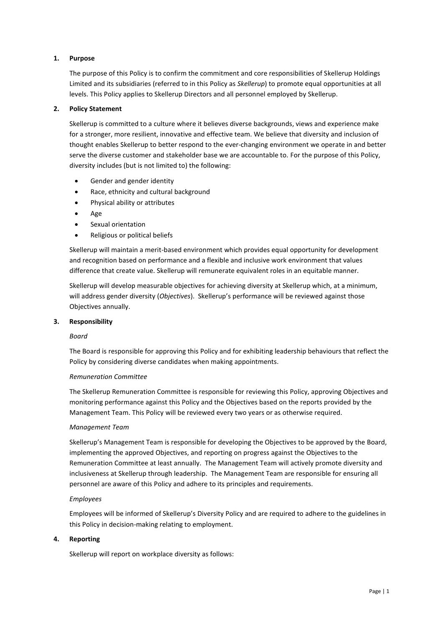## **1. Purpose**

The purpose of this Policy is to confirm the commitment and core responsibilities of Skellerup Holdings Limited and its subsidiaries (referred to in this Policy as *Skellerup*) to promote equal opportunities at all levels. This Policy applies to Skellerup Directors and all personnel employed by Skellerup.

#### **2. Policy Statement**

Skellerup is committed to a culture where it believes diverse backgrounds, views and experience make for a stronger, more resilient, innovative and effective team. We believe that diversity and inclusion of thought enables Skellerup to better respond to the ever-changing environment we operate in and better serve the diverse customer and stakeholder base we are accountable to. For the purpose of this Policy, diversity includes (but is not limited to) the following:

- Gender and gender identity
- Race, ethnicity and cultural background
- Physical ability or attributes
- Age
- Sexual orientation
- Religious or political beliefs

Skellerup will maintain a merit-based environment which provides equal opportunity for development and recognition based on performance and a flexible and inclusive work environment that values difference that create value. Skellerup will remunerate equivalent roles in an equitable manner.

Skellerup will develop measurable objectives for achieving diversity at Skellerup which, at a minimum, will address gender diversity (*Objectives*). Skellerup's performance will be reviewed against those Objectives annually.

#### **3. Responsibility**

#### *Board*

The Board is responsible for approving this Policy and for exhibiting leadership behaviours that reflect the Policy by considering diverse candidates when making appointments.

#### *Remuneration Committee*

The Skellerup Remuneration Committee is responsible for reviewing this Policy, approving Objectives and monitoring performance against this Policy and the Objectives based on the reports provided by the Management Team. This Policy will be reviewed every two years or as otherwise required.

#### *Management Team*

Skellerup's Management Team is responsible for developing the Objectives to be approved by the Board, implementing the approved Objectives, and reporting on progress against the Objectives to the Remuneration Committee at least annually. The Management Team will actively promote diversity and inclusiveness at Skellerup through leadership. The Management Team are responsible for ensuring all personnel are aware of this Policy and adhere to its principles and requirements.

#### *Employees*

Employees will be informed of Skellerup's Diversity Policy and are required to adhere to the guidelines in this Policy in decision-making relating to employment.

#### **4. Reporting**

Skellerup will report on workplace diversity as follows: